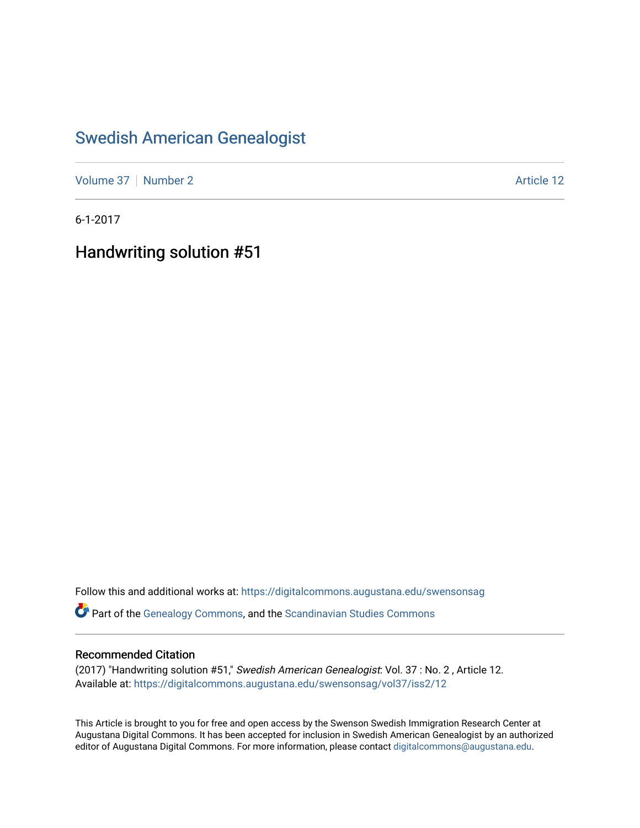## [Swedish American Genealogist](https://digitalcommons.augustana.edu/swensonsag)

[Volume 37](https://digitalcommons.augustana.edu/swensonsag/vol37) | [Number 2](https://digitalcommons.augustana.edu/swensonsag/vol37/iss2) Article 12

6-1-2017

Handwriting solution #51

Follow this and additional works at: [https://digitalcommons.augustana.edu/swensonsag](https://digitalcommons.augustana.edu/swensonsag?utm_source=digitalcommons.augustana.edu%2Fswensonsag%2Fvol37%2Fiss2%2F12&utm_medium=PDF&utm_campaign=PDFCoverPages) 

Part of the [Genealogy Commons,](http://network.bepress.com/hgg/discipline/1342?utm_source=digitalcommons.augustana.edu%2Fswensonsag%2Fvol37%2Fiss2%2F12&utm_medium=PDF&utm_campaign=PDFCoverPages) and the [Scandinavian Studies Commons](http://network.bepress.com/hgg/discipline/485?utm_source=digitalcommons.augustana.edu%2Fswensonsag%2Fvol37%2Fiss2%2F12&utm_medium=PDF&utm_campaign=PDFCoverPages)

#### Recommended Citation

(2017) "Handwriting solution #51," Swedish American Genealogist: Vol. 37 : No. 2 , Article 12. Available at: [https://digitalcommons.augustana.edu/swensonsag/vol37/iss2/12](https://digitalcommons.augustana.edu/swensonsag/vol37/iss2/12?utm_source=digitalcommons.augustana.edu%2Fswensonsag%2Fvol37%2Fiss2%2F12&utm_medium=PDF&utm_campaign=PDFCoverPages) 

This Article is brought to you for free and open access by the Swenson Swedish Immigration Research Center at Augustana Digital Commons. It has been accepted for inclusion in Swedish American Genealogist by an authorized editor of Augustana Digital Commons. For more information, please contact [digitalcommons@augustana.edu.](mailto:digitalcommons@augustana.edu)